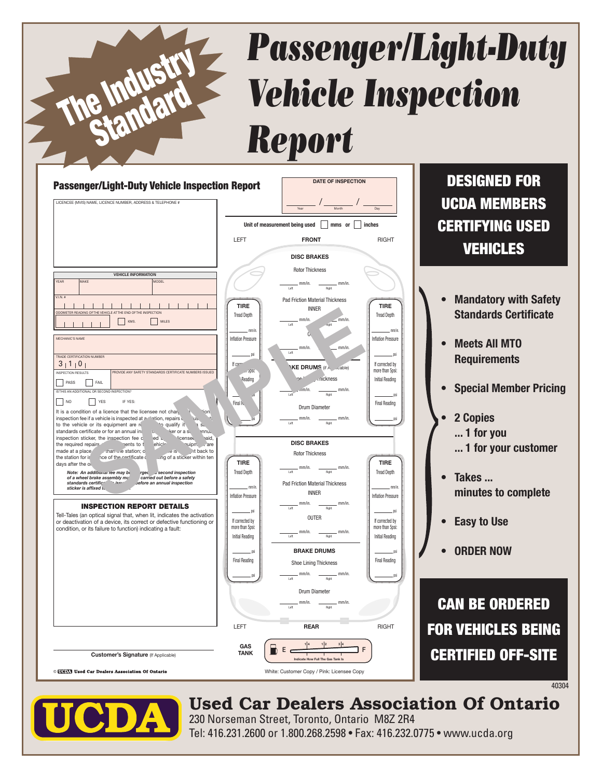## *Passenger/Light-Duty Vehicle Inspection Report*





The Industry

Standard

## Used Car Dealers Association Of Ontario

230 Norseman Street, Toronto, Ontario M8Z 2R4 Tel: 416.231.2600 or 1.800.268.2598 • Fax: 416.232.0775 • www.ucda.org